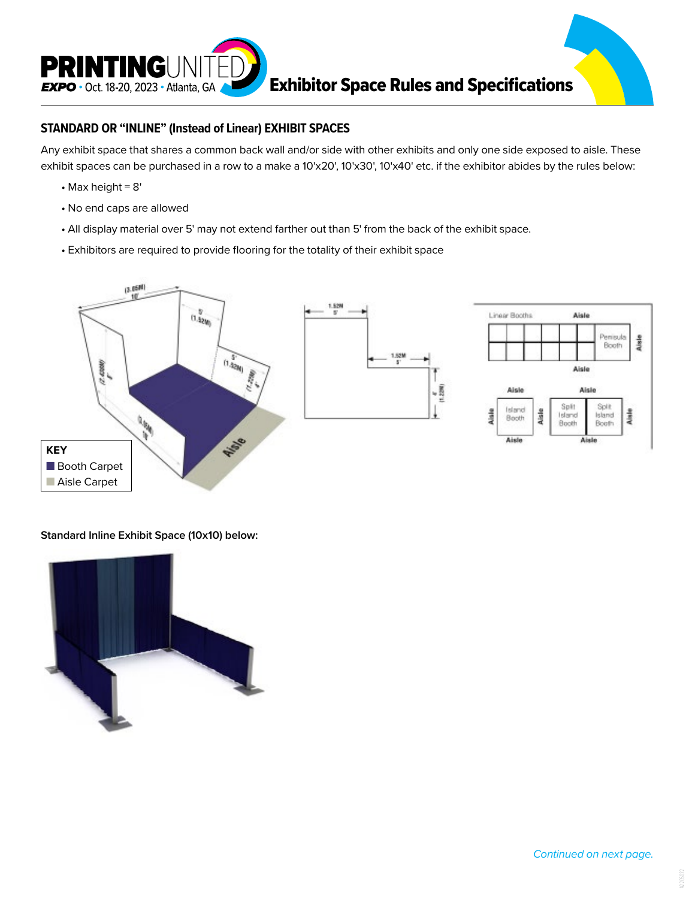

# **STANDARD OR "INLINE" (Instead of Linear) EXHIBIT SPACES**

Any exhibit space that shares a common back wall and/or side with other exhibits and only one side exposed to aisle. These exhibit spaces can be purchased in a row to a make a 10'x20', 10'x30', 10'x40' etc. if the exhibitor abides by the rules below:

- $\cdot$  Max height = 8'
- No end caps are allowed
- All display material over 5' may not extend farther out than 5' from the back of the exhibit space.
- Exhibitors are required to provide flooring for the totality of their exhibit space



#### **Standard Inline Exhibit Space (10x10) below:**

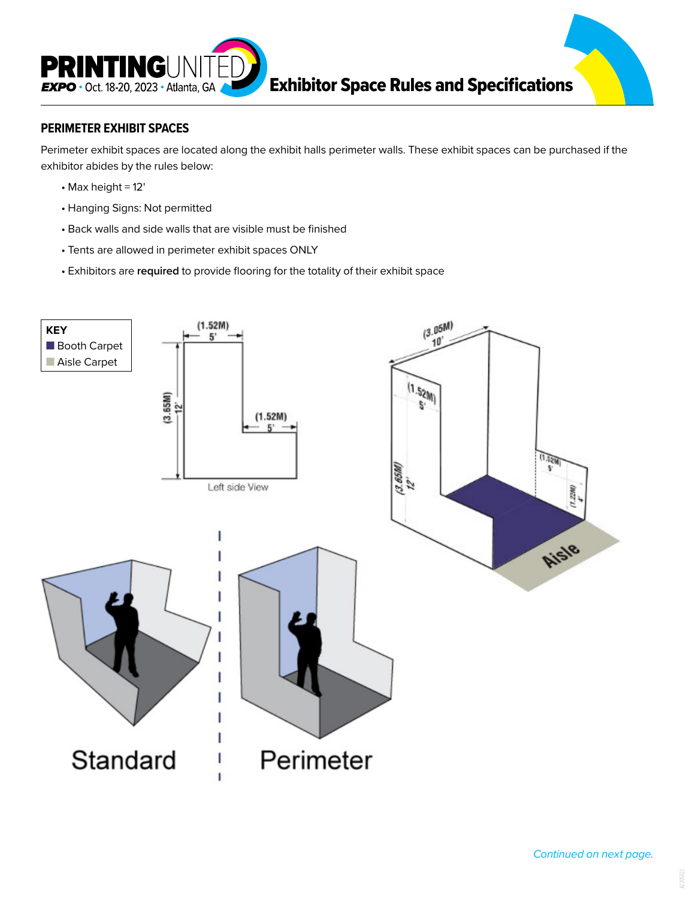

### **PERIMETER EXHIBIT SPACES**

Perimeter exhibit spaces are located along the exhibit halls perimeter walls. These exhibit spaces can be purchased if the exhibitor abides by the rules below:

- Max height = 12'
- Hanging Signs: Not permitted
- Back walls and side walls that are visible must be finished
- Tents are allowed in perimeter exhibit spaces ONLY
- Exhibitors are **required** to provide flooring for the totality of their exhibit space

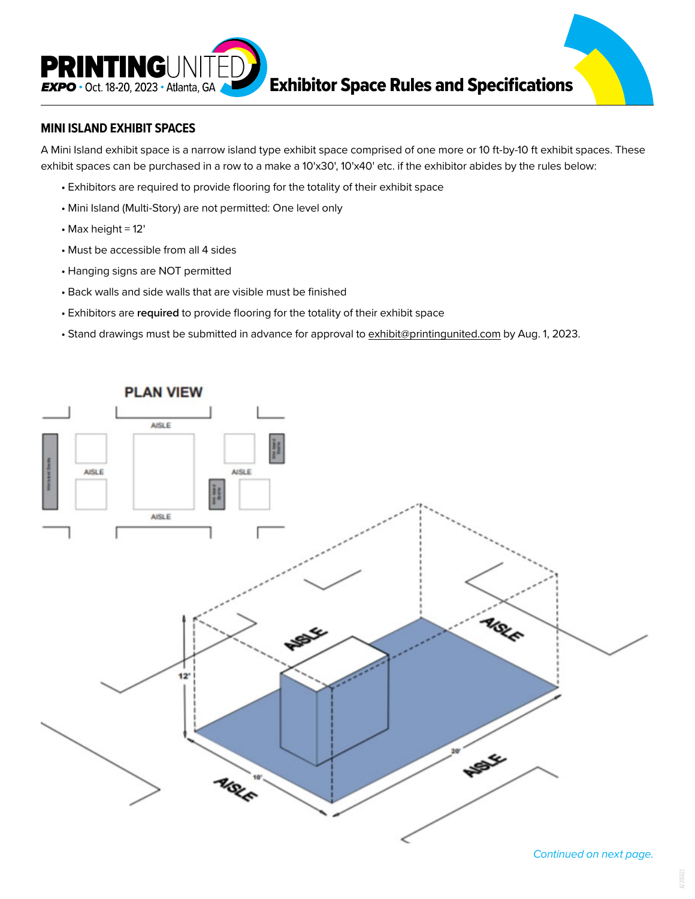

#### **MINI ISLAND EXHIBIT SPACES**

A Mini Island exhibit space is a narrow island type exhibit space comprised of one more or 10 ft-by-10 ft exhibit spaces. These exhibit spaces can be purchased in a row to a make a 10'x30', 10'x40' etc. if the exhibitor abides by the rules below:

- Exhibitors are required to provide flooring for the totality of their exhibit space
- Mini Island (Multi-Story) are not permitted: One level only
- $\bullet$  Max height = 12'
- Must be accessible from all 4 sides
- Hanging signs are NOT permitted
- Back walls and side walls that are visible must be finished
- Exhibitors are **required** to provide flooring for the totality of their exhibit space
- Stand drawings must be submitted in advance for approval to exhibit@printingunited.com by Aug. 1, 2023.

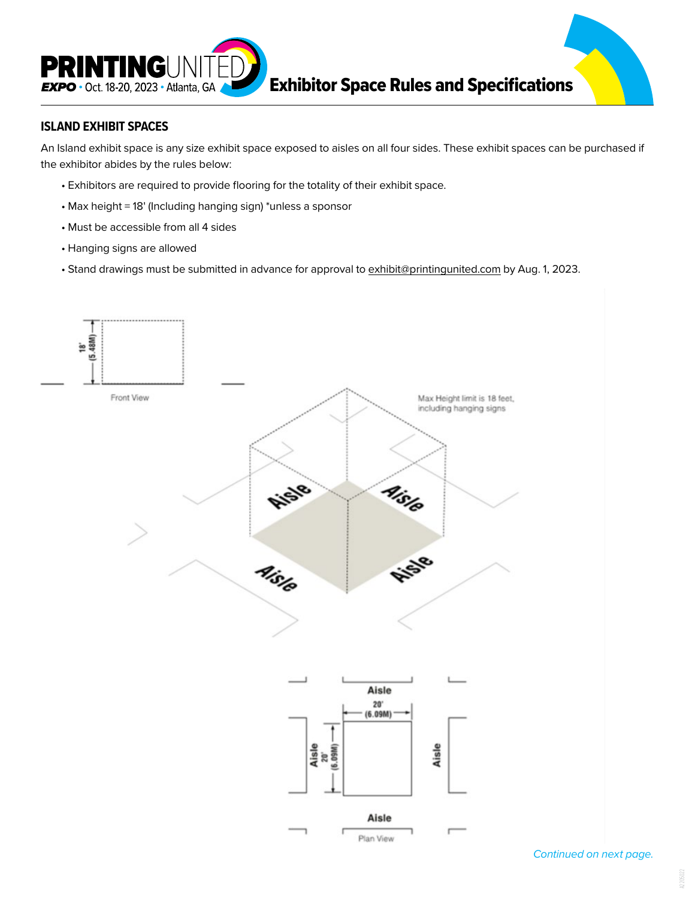

#### **ISLAND EXHIBIT SPACES**

An Island exhibit space is any size exhibit space exposed to aisles on all four sides. These exhibit spaces can be purchased if the exhibitor abides by the rules below:

- Exhibitors are required to provide flooring for the totality of their exhibit space.
- Max height = 18' (Including hanging sign) \*unless a sponsor
- Must be accessible from all 4 sides
- Hanging signs are allowed
- Stand drawings must be submitted in advance for approval to exhibit@printingunited.com by Aug. 1, 2023.



*Continued on next page.*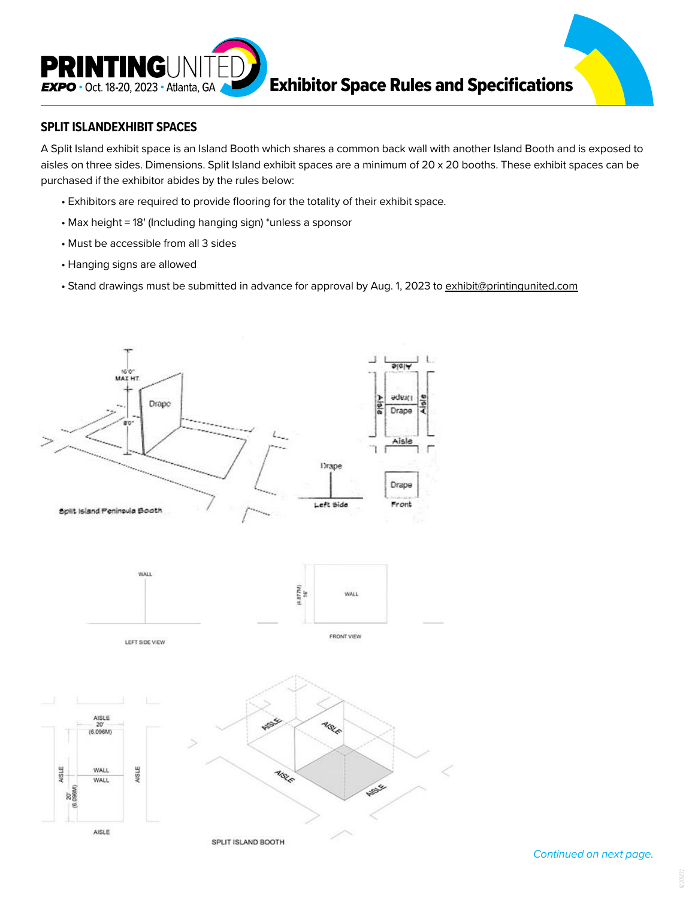

#### **SPLIT ISLANDEXHIBIT SPACES**

A Split Island exhibit space is an Island Booth which shares a common back wall with another Island Booth and is exposed to aisles on three sides. Dimensions. Split Island exhibit spaces are a minimum of 20 x 20 booths. These exhibit spaces can be purchased if the exhibitor abides by the rules below:

- Exhibitors are required to provide flooring for the totality of their exhibit space.
- Max height = 18' (Including hanging sign) \*unless a sponsor
- Must be accessible from all 3 sides
- Hanging signs are allowed
- Stand drawings must be submitted in advance for approval by Aug. 1, 2023 to exhibit@printingunited.com

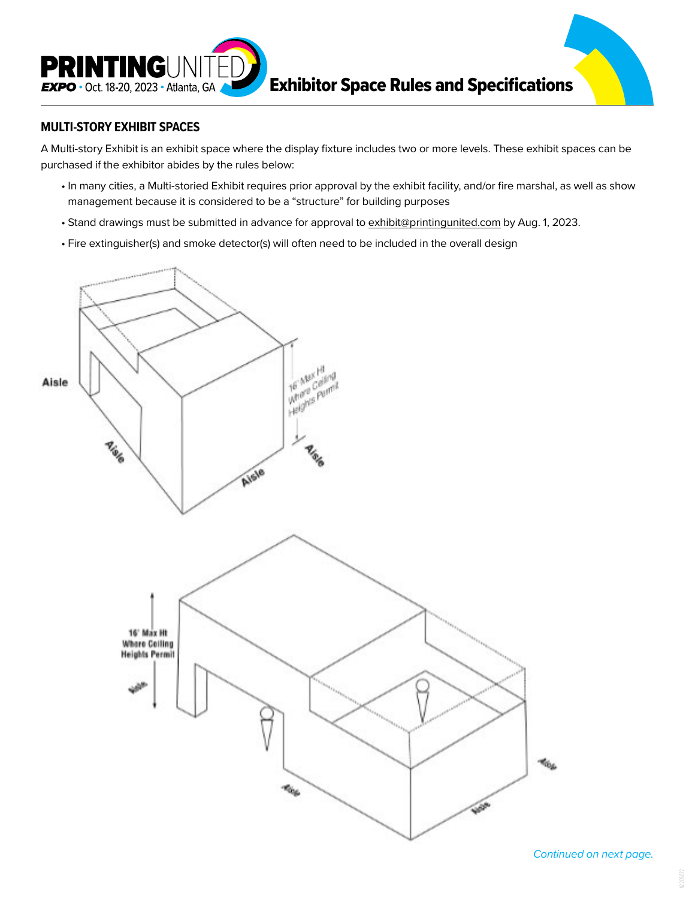



A Multi-story Exhibit is an exhibit space where the display fixture includes two or more levels. These exhibit spaces can be purchased if the exhibitor abides by the rules below:

- In many cities, a Multi-storied Exhibit requires prior approval by the exhibit facility, and/or fire marshal, as well as show management because it is considered to be a "structure" for building purposes
- Stand drawings must be submitted in advance for approval to exhibit@printingunited.com by Aug. 1, 2023.
- Fire extinguisher(s) and smoke detector(s) will often need to be included in the overall design



*Continued on next page.*